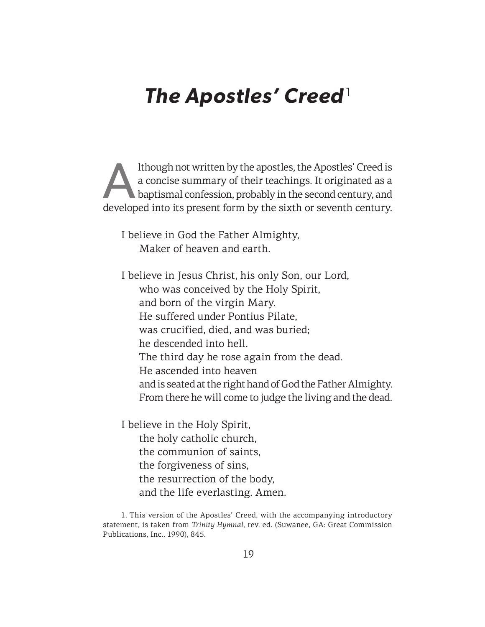# **The Apostles' Creed**<sup>1</sup>

Ithough not written by the apostles, the Apostles' Creed is<br>a concise summary of their teachings. It originated as a<br>baptismal confession, probably in the second century, and<br>developed into its present form by the sixth or a concise summary of their teachings. It originated as a baptismal confession, probably in the second century, and developed into its present form by the sixth or seventh century.

I believe in God the Father Almighty, Maker of heaven and earth.

I believe in Jesus Christ, his only Son, our Lord, who was conceived by the Holy Spirit, and born of the virgin Mary. He suffered under Pontius Pilate, was crucified, died, and was buried; he descended into hell. The third day he rose again from the dead. He ascended into heaven and is seated at the right hand of God the Father Almighty. From there he will come to judge the living and the dead.

I believe in the Holy Spirit, the holy catholic church, the communion of saints, the forgiveness of sins, the resurrection of the body, and the life everlasting. Amen.

<sup>1.</sup> This version of the Apostles' Creed, with the accompanying introductory statement, is taken from *Trinity Hymnal*, rev. ed. (Suwanee, GA: Great Commission Publications, Inc., 1990), 845.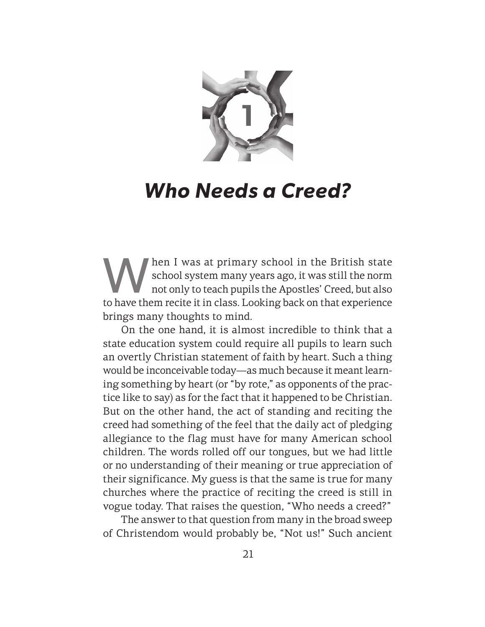

## **Who Needs a Creed?**

Man I was at primary school in the British state<br>school system many years ago, it was still the norm<br>not only to teach pupils the Apostles' Creed, but also<br>to be use them regits it in also. I solving bask on that experienc school system many years ago, it was still the norm not only to teach pupils the Apostles' Creed, but also to have them recite it in class. Looking back on that experience brings many thoughts to mind.

On the one hand, it is almost incredible to think that a state education system could require all pupils to learn such an overtly Christian statement of faith by heart. Such a thing would be inconceivable today—as much because it meant learning something by heart (or "by rote," as opponents of the practice like to say) as for the fact that it happened to be Christian. But on the other hand, the act of standing and reciting the creed had something of the feel that the daily act of pledging allegiance to the flag must have for many American school children. The words rolled off our tongues, but we had little or no understanding of their meaning or true appreciation of their significance. My guess is that the same is true for many churches where the practice of reciting the creed is still in vogue today. That raises the question, "Who needs a creed?"

The answer to that question from many in the broad sweep of Christendom would probably be, "Not us!" Such ancient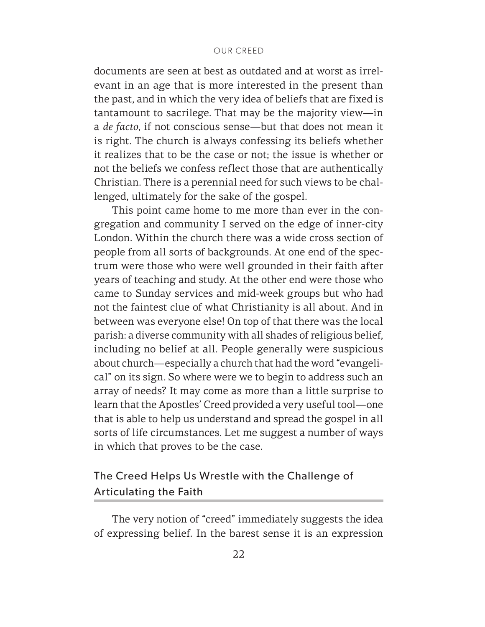#### OUR CREED

documents are seen at best as outdated and at worst as irrelevant in an age that is more interested in the present than the past, and in which the very idea of beliefs that are fixed is tantamount to sacrilege. That may be the majority view—in a *de facto*, if not conscious sense—but that does not mean it is right. The church is always confessing its beliefs whether it realizes that to be the case or not; the issue is whether or not the beliefs we confess reflect those that are authentically Christian. There is a perennial need for such views to be challenged, ultimately for the sake of the gospel.

This point came home to me more than ever in the congregation and community I served on the edge of inner-city London. Within the church there was a wide cross section of people from all sorts of backgrounds. At one end of the spectrum were those who were well grounded in their faith after years of teaching and study. At the other end were those who came to Sunday services and mid-week groups but who had not the faintest clue of what Christianity is all about. And in between was everyone else! On top of that there was the local parish: a diverse community with all shades of religious belief, including no belief at all. People generally were suspicious about church—especially a church that had the word "evangelical" on its sign. So where were we to begin to address such an array of needs? It may come as more than a little surprise to learn that the Apostles' Creed provided a very useful tool—one that is able to help us understand and spread the gospel in all sorts of life circumstances. Let me suggest a number of ways in which that proves to be the case.

## The Creed Helps Us Wrestle with the Challenge of Articulating the Faith

The very notion of "creed" immediately suggests the idea of expressing belief. In the barest sense it is an expression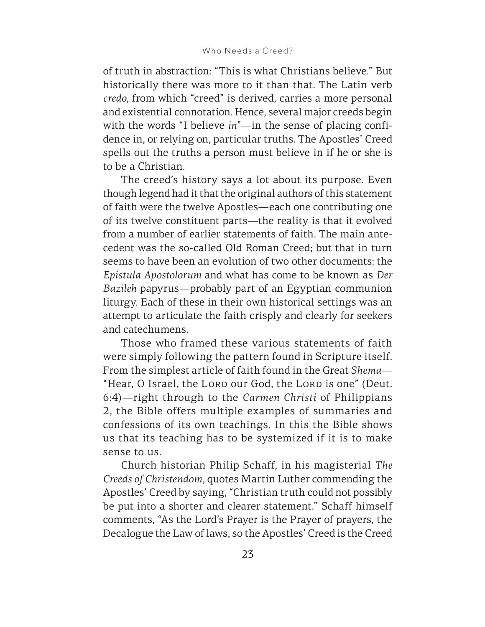of truth in abstraction: "This is what Christians believe." But historically there was more to it than that. The Latin verb *credo*, from which "creed" is derived, carries a more personal and existential connotation. Hence, several major creeds begin with the words "I believe *in*"—in the sense of placing confidence in, or relying on, particular truths. The Apostles' Creed spells out the truths a person must believe in if he or she is to be a Christian.

The creed's history says a lot about its purpose. Even though legend had it that the original authors of this statement of faith were the twelve Apostles—each one contributing one of its twelve constituent parts—the reality is that it evolved from a number of earlier statements of faith. The main antecedent was the so-called Old Roman Creed; but that in turn seems to have been an evolution of two other documents: the *Epistula Apostolorum* and what has come to be known as *Der Bazileh* papyrus—probably part of an Egyptian communion liturgy. Each of these in their own historical settings was an attempt to articulate the faith crisply and clearly for seekers and catechumens.

Those who framed these various statements of faith were simply following the pattern found in Scripture itself. From the simplest article of faith found in the Great *Shema*— "Hear, O Israel, the Lorp our God, the Lorp is one" (Deut. 6:4)—right through to the *Carmen Christi* of Philippians 2, the Bible offers multiple examples of summaries and confessions of its own teachings. In this the Bible shows us that its teaching has to be systemized if it is to make sense to us.

Church historian Philip Schaff, in his magisterial *The Creeds of Christendom*, quotes Martin Luther commending the Apostles' Creed by saying, "Christian truth could not possibly be put into a shorter and clearer statement." Schaff himself comments, "As the Lord's Prayer is the Prayer of prayers, the Decalogue the Law of laws, so the Apostles' Creed is the Creed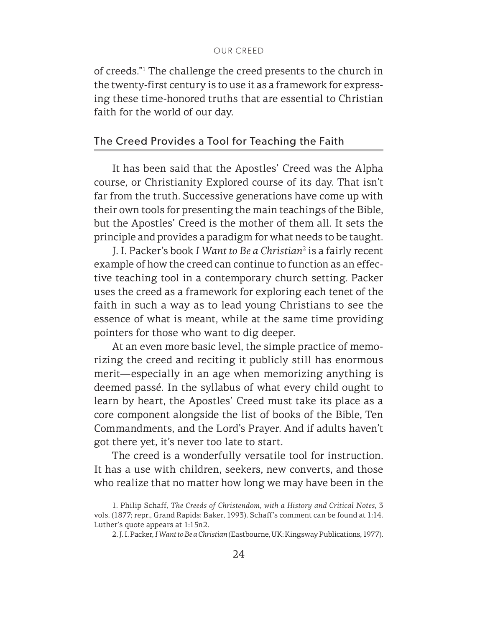of creeds."1 The challenge the creed presents to the church in the twenty-first century is to use it as a framework for expressing these time-honored truths that are essential to Christian faith for the world of our day.

#### The Creed Provides a Tool for Teaching the Faith

It has been said that the Apostles' Creed was the Alpha course, or Christianity Explored course of its day. That isn't far from the truth. Successive generations have come up with their own tools for presenting the main teachings of the Bible, but the Apostles' Creed is the mother of them all. It sets the principle and provides a paradigm for what needs to be taught.

J. I. Packer's book *I Want to Be a Christian*<sup>2</sup> is a fairly recent example of how the creed can continue to function as an effective teaching tool in a contemporary church setting. Packer uses the creed as a framework for exploring each tenet of the faith in such a way as to lead young Christians to see the essence of what is meant, while at the same time providing pointers for those who want to dig deeper.

At an even more basic level, the simple practice of memorizing the creed and reciting it publicly still has enormous merit—especially in an age when memorizing anything is deemed passé. In the syllabus of what every child ought to learn by heart, the Apostles' Creed must take its place as a core component alongside the list of books of the Bible, Ten Commandments, and the Lord's Prayer. And if adults haven't got there yet, it's never too late to start.

The creed is a wonderfully versatile tool for instruction. It has a use with children, seekers, new converts, and those who realize that no matter how long we may have been in the

<sup>1.</sup> Philip Schaff, *The Creeds of Christendom, with a History and Critical Notes*, 3 vols. (1877; repr., Grand Rapids: Baker, 1993). Schaff's comment can be found at 1:14. Luther's quote appears at 1:15n2.

<sup>2.</sup> J. I. Packer, *I Want to Be a Christian* (Eastbourne, UK: Kingsway Publications, 1977).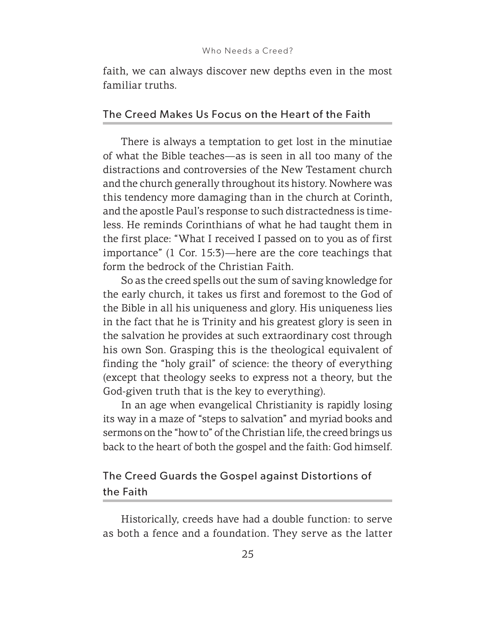faith, we can always discover new depths even in the most familiar truths.

### The Creed Makes Us Focus on the Heart of the Faith

There is always a temptation to get lost in the minutiae of what the Bible teaches—as is seen in all too many of the distractions and controversies of the New Testament church and the church generally throughout its history. Nowhere was this tendency more damaging than in the church at Corinth, and the apostle Paul's response to such distractedness is timeless. He reminds Corinthians of what he had taught them in the first place: "What I received I passed on to you as of first importance" (1 Cor. 15:3)—here are the core teachings that form the bedrock of the Christian Faith.

So as the creed spells out the sum of saving knowledge for the early church, it takes us first and foremost to the God of the Bible in all his uniqueness and glory. His uniqueness lies in the fact that he is Trinity and his greatest glory is seen in the salvation he provides at such extraordinary cost through his own Son. Grasping this is the theological equivalent of finding the "holy grail" of science: the theory of everything (except that theology seeks to express not a theory, but the God-given truth that is the key to everything).

In an age when evangelical Christianity is rapidly losing its way in a maze of "steps to salvation" and myriad books and sermons on the "how to" of the Christian life, the creed brings us back to the heart of both the gospel and the faith: God himself.

### The Creed Guards the Gospel against Distortions of the Faith

Historically, creeds have had a double function: to serve as both a fence and a foundation. They serve as the latter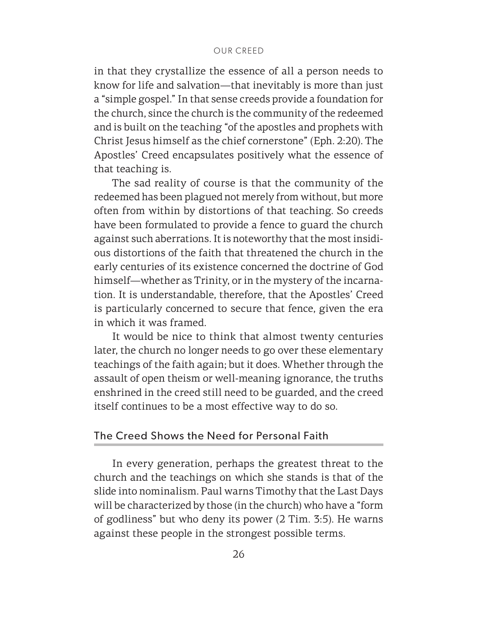in that they crystallize the essence of all a person needs to know for life and salvation—that inevitably is more than just a "simple gospel." In that sense creeds provide a foundation for the church, since the church is the community of the redeemed and is built on the teaching "of the apostles and prophets with Christ Jesus himself as the chief cornerstone" (Eph. 2:20). The Apostles' Creed encapsulates positively what the essence of that teaching is.

The sad reality of course is that the community of the redeemed has been plagued not merely from without, but more often from within by distortions of that teaching. So creeds have been formulated to provide a fence to guard the church against such aberrations. It is noteworthy that the most insidious distortions of the faith that threatened the church in the early centuries of its existence concerned the doctrine of God himself—whether as Trinity, or in the mystery of the incarnation. It is understandable, therefore, that the Apostles' Creed is particularly concerned to secure that fence, given the era in which it was framed.

It would be nice to think that almost twenty centuries later, the church no longer needs to go over these elementary teachings of the faith again; but it does. Whether through the assault of open theism or well-meaning ignorance, the truths enshrined in the creed still need to be guarded, and the creed itself continues to be a most effective way to do so.

#### The Creed Shows the Need for Personal Faith

In every generation, perhaps the greatest threat to the church and the teachings on which she stands is that of the slide into nominalism. Paul warns Timothy that the Last Days will be characterized by those (in the church) who have a "form of godliness" but who deny its power (2 Tim. 3:5). He warns against these people in the strongest possible terms.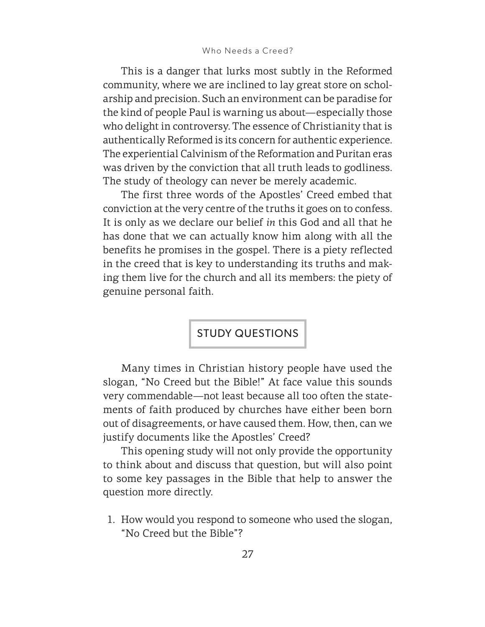This is a danger that lurks most subtly in the Reformed community, where we are inclined to lay great store on scholarship and precision. Such an environment can be paradise for the kind of people Paul is warning us about—especially those who delight in controversy. The essence of Christianity that is authentically Reformed is its concern for authentic experience. The experiential Calvinism of the Reformation and Puritan eras was driven by the conviction that all truth leads to godliness. The study of theology can never be merely academic.

The first three words of the Apostles' Creed embed that conviction at the very centre of the truths it goes on to confess. It is only as we declare our belief *in* this God and all that he has done that we can actually know him along with all the benefits he promises in the gospel. There is a piety reflected in the creed that is key to understanding its truths and making them live for the church and all its members: the piety of genuine personal faith.

STUDY QUESTIONS

Many times in Christian history people have used the slogan, "No Creed but the Bible!" At face value this sounds very commendable—not least because all too often the statements of faith produced by churches have either been born out of disagreements, or have caused them. How, then, can we justify documents like the Apostles' Creed?

This opening study will not only provide the opportunity to think about and discuss that question, but will also point to some key passages in the Bible that help to answer the question more directly.

1. How would you respond to someone who used the slogan, "No Creed but the Bible"?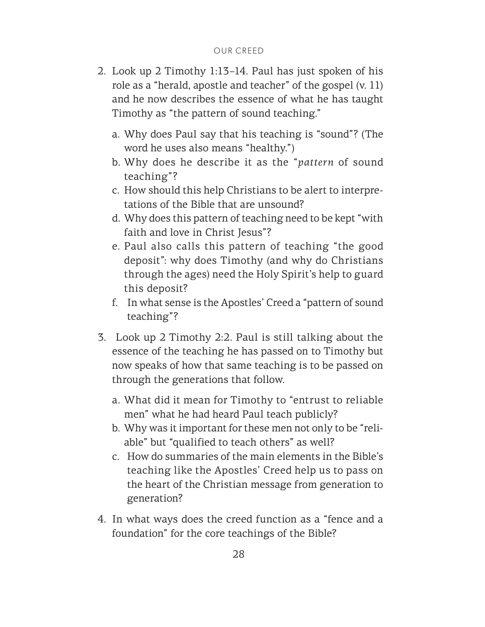- 2. Look up 2 Timothy 1:13–14. Paul has just spoken of his role as a "herald, apostle and teacher" of the gospel (v. 11) and he now describes the essence of what he has taught Timothy as "the pattern of sound teaching."
	- a. Why does Paul say that his teaching is "sound"? (The word he uses also means "healthy.")
	- b. Why does he describe it as the "*pattern* of sound teaching"?
	- c. How should this help Christians to be alert to interpretations of the Bible that are unsound?
	- d. Why does this pattern of teaching need to be kept "with faith and love in Christ Jesus"?
	- e. Paul also calls this pattern of teaching "the good deposit": why does Timothy (and why do Christians through the ages) need the Holy Spirit's help to guard this deposit?
	- f. In what sense is the Apostles' Creed a "pattern of sound teaching"?
- 3. Look up 2 Timothy 2:2. Paul is still talking about the essence of the teaching he has passed on to Timothy but now speaks of how that same teaching is to be passed on through the generations that follow.
	- a. What did it mean for Timothy to "entrust to reliable men" what he had heard Paul teach publicly?
	- b. Why was it important for these men not only to be "reliable" but "qualified to teach others" as well?
	- c. How do summaries of the main elements in the Bible's teaching like the Apostles' Creed help us to pass on the heart of the Christian message from generation to generation?
- 4. In what ways does the creed function as a "fence and a foundation" for the core teachings of the Bible?